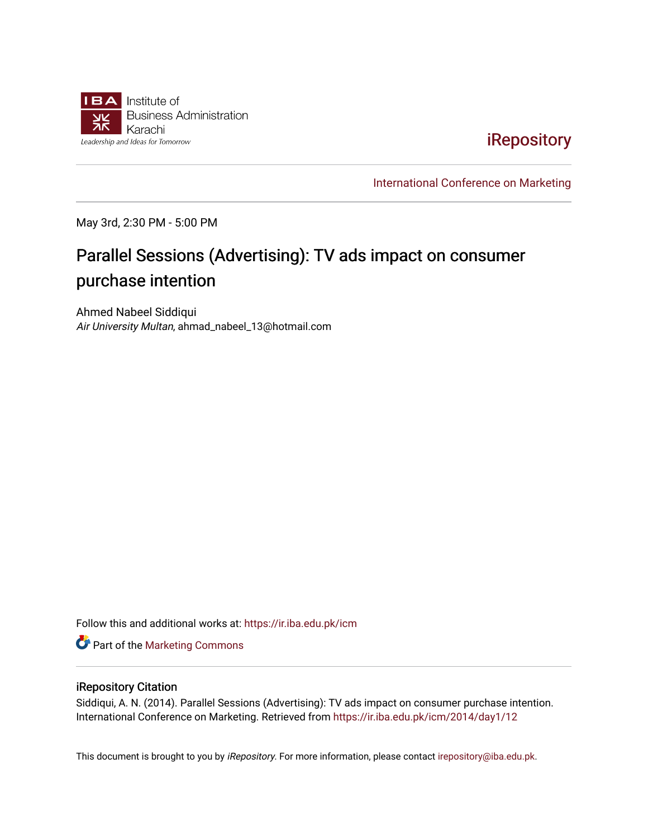

[iRepository](https://ir.iba.edu.pk/) 

[International Conference on Marketing](https://ir.iba.edu.pk/icm) 

May 3rd, 2:30 PM - 5:00 PM

# Parallel Sessions (Advertising): TV ads impact on consumer purchase intention

Ahmed Nabeel Siddiqui Air University Multan, ahmad\_nabeel\_13@hotmail.com

Follow this and additional works at: [https://ir.iba.edu.pk/icm](https://ir.iba.edu.pk/icm?utm_source=ir.iba.edu.pk%2Ficm%2F2014%2Fday1%2F12&utm_medium=PDF&utm_campaign=PDFCoverPages) 

**Part of the [Marketing Commons](http://network.bepress.com/hgg/discipline/638?utm_source=ir.iba.edu.pk%2Ficm%2F2014%2Fday1%2F12&utm_medium=PDF&utm_campaign=PDFCoverPages)** 

### iRepository Citation

Siddiqui, A. N. (2014). Parallel Sessions (Advertising): TV ads impact on consumer purchase intention. International Conference on Marketing. Retrieved from [https://ir.iba.edu.pk/icm/2014/day1/12](https://ir.iba.edu.pk/icm/2014/day1/12?utm_source=ir.iba.edu.pk%2Ficm%2F2014%2Fday1%2F12&utm_medium=PDF&utm_campaign=PDFCoverPages)

This document is brought to you by iRepository. For more information, please contact [irepository@iba.edu.pk](mailto:irepository@iba.edu.pk).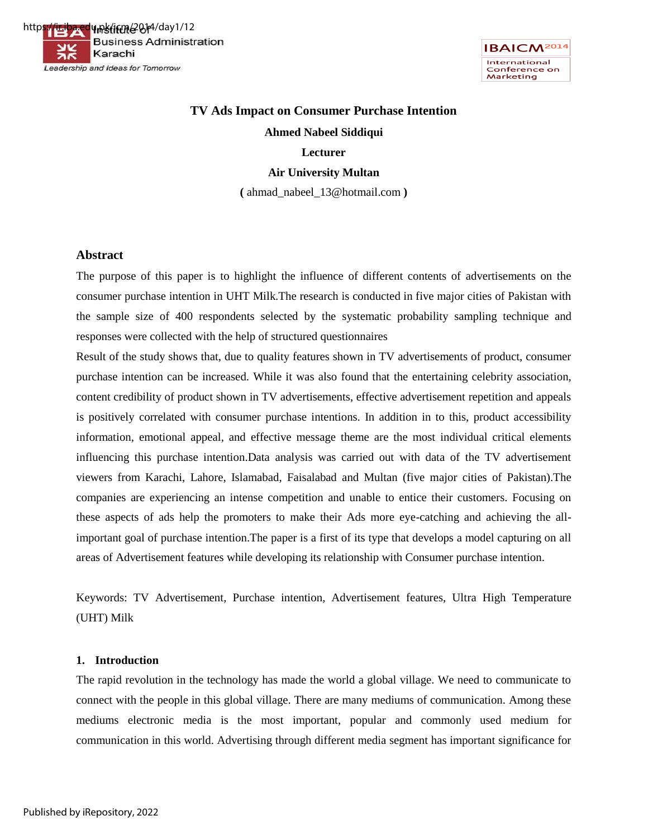



# **TV Ads Impact on Consumer Purchase Intention Ahmed Nabeel Siddiqui Lecturer**

### **Air University Multan**

**(** ahmad\_nabeel\_13@hotmail.com **)** 

### **Abstract**

The purpose of this paper is to highlight the influence of different contents of advertisements on the consumer purchase intention in UHT Milk.The research is conducted in five major cities of Pakistan with the sample size of 400 respondents selected by the systematic probability sampling technique and responses were collected with the help of structured questionnaires

Result of the study shows that, due to quality features shown in TV advertisements of product, consumer purchase intention can be increased. While it was also found that the entertaining celebrity association, content credibility of product shown in TV advertisements, effective advertisement repetition and appeals is positively correlated with consumer purchase intentions. In addition in to this, product accessibility information, emotional appeal, and effective message theme are the most individual critical elements influencing this purchase intention.Data analysis was carried out with data of the TV advertisement viewers from Karachi, Lahore, Islamabad, Faisalabad and Multan (five major cities of Pakistan).The companies are experiencing an intense competition and unable to entice their customers. Focusing on these aspects of ads help the promoters to make their Ads more eye-catching and achieving the allimportant goal of purchase intention.The paper is a first of its type that develops a model capturing on all areas of Advertisement features while developing its relationship with Consumer purchase intention.

Keywords: TV Advertisement, Purchase intention, Advertisement features, Ultra High Temperature (UHT) Milk

#### **1. Introduction**

The rapid revolution in the technology has made the world a global village. We need to communicate to connect with the people in this global village. There are many mediums of communication. Among these mediums electronic media is the most important, popular and commonly used medium for communication in this world. Advertising through different media segment has important significance for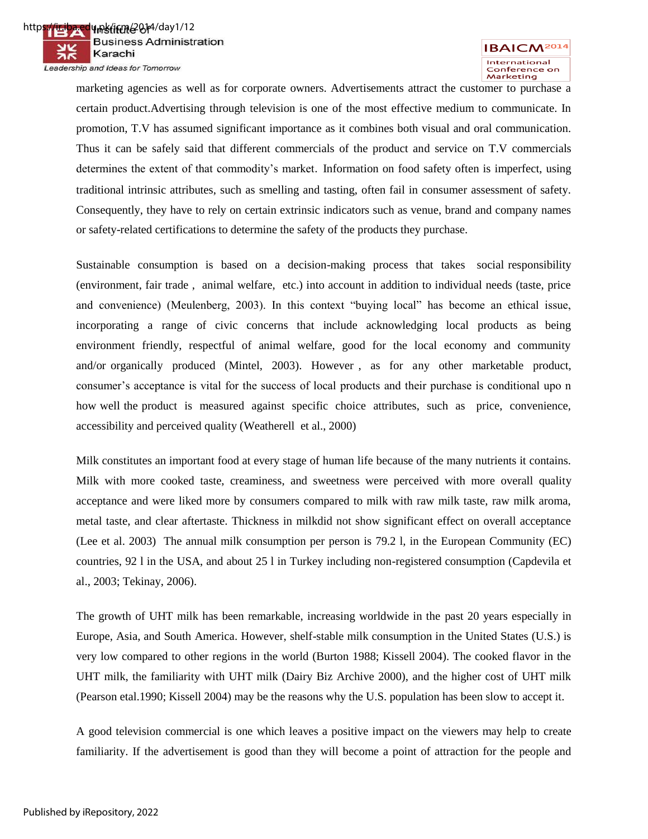

marketing agencies as well as for corporate owners. Advertisements attract the customer to purchase a certain product.Advertising through television is one of the most effective medium to communicate. In promotion, T.V has assumed significant importance as it combines both visual and oral communication. Thus it can be safely said that different commercials of the product and service on T.V commercials determines the extent of that commodity's market. Information on food safety often is imperfect, using traditional intrinsic attributes, such as smelling and tasting, often fail in consumer assessment of safety. Consequently, they have to rely on certain extrinsic indicators such as venue, brand and company names or safety-related certifications to determine the safety of the products they purchase.

Sustainable consumption is based on a decision-making process that takes social responsibility (environment, fair trade , animal welfare, etc.) into account in addition to individual needs (taste, price and convenience) (Meulenberg, 2003). In this context "buying local" has become an ethical issue, incorporating a range of civic concerns that include acknowledging local products as being environment friendly, respectful of animal welfare, good for the local economy and community and/or organically produced (Mintel, 2003). However , as for any other marketable product, consumer's acceptance is vital for the success of local products and their purchase is conditional upo n how well the product is measured against specific choice attributes, such as price, convenience, accessibility and perceived quality (Weatherell et al., 2000)

Milk constitutes an important food at every stage of human life because of the many nutrients it contains. Milk with more cooked taste, creaminess, and sweetness were perceived with more overall quality acceptance and were liked more by consumers compared to milk with raw milk taste, raw milk aroma, metal taste, and clear aftertaste. Thickness in milkdid not show significant effect on overall acceptance (Lee et al. 2003) The annual milk consumption per person is 79.2 l, in the European Community (EC) countries, 92 l in the USA, and about 25 l in Turkey including non-registered consumption (Capdevila et al., 2003; Tekinay, 2006).

The growth of UHT milk has been remarkable, increasing worldwide in the past 20 years especially in Europe, Asia, and South America. However, shelf-stable milk consumption in the United States (U.S.) is very low compared to other regions in the world (Burton 1988; Kissell 2004). The cooked flavor in the UHT milk, the familiarity with UHT milk (Dairy Biz Archive 2000), and the higher cost of UHT milk (Pearson etal.1990; Kissell 2004) may be the reasons why the U.S. population has been slow to accept it.

A good television commercial is one which leaves a positive impact on the viewers may help to create familiarity. If the advertisement is good than they will become a point of attraction for the people and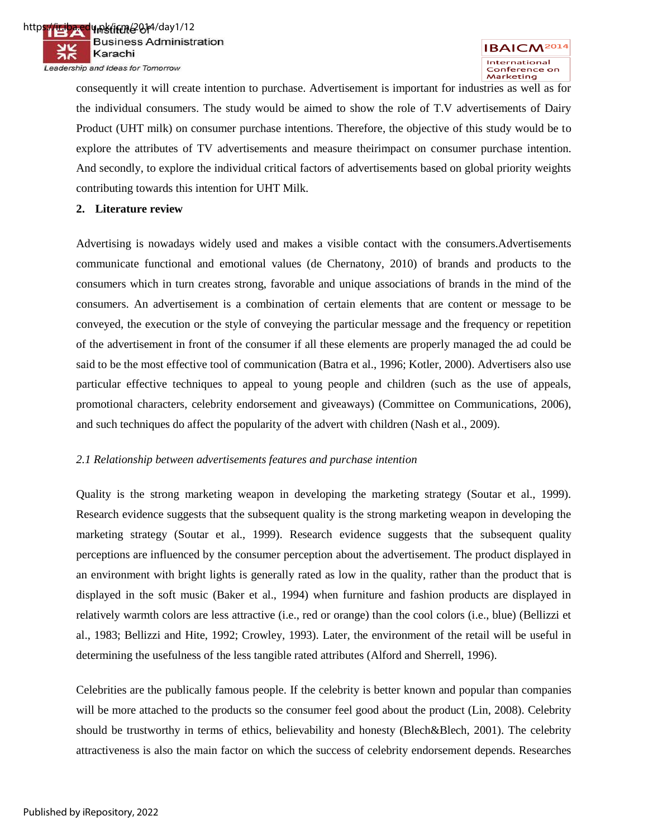

consequently it will create intention to purchase. Advertisement is important for industries as well as for the individual consumers. The study would be aimed to show the role of T.V advertisements of Dairy Product (UHT milk) on consumer purchase intentions. Therefore, the objective of this study would be to explore the attributes of TV advertisements and measure theirimpact on consumer purchase intention. And secondly, to explore the individual critical factors of advertisements based on global priority weights contributing towards this intention for UHT Milk.

### **2. Literature review**

Advertising is nowadays widely used and makes a visible contact with the consumers.Advertisements communicate functional and emotional values (de Chernatony, 2010) of brands and products to the consumers which in turn creates strong, favorable and unique associations of brands in the mind of the consumers. An advertisement is a combination of certain elements that are content or message to be conveyed, the execution or the style of conveying the particular message and the frequency or repetition of the advertisement in front of the consumer if all these elements are properly managed the ad could be said to be the most effective tool of communication (Batra et al., 1996; Kotler, 2000). Advertisers also use particular effective techniques to appeal to young people and children (such as the use of appeals, promotional characters, celebrity endorsement and giveaways) (Committee on Communications, 2006), and such techniques do affect the popularity of the advert with children (Nash et al., 2009).

### *2.1 Relationship between advertisements features and purchase intention*

Quality is the strong marketing weapon in developing the marketing strategy (Soutar et al., 1999). Research evidence suggests that the subsequent quality is the strong marketing weapon in developing the marketing strategy (Soutar et al., 1999). Research evidence suggests that the subsequent quality perceptions are influenced by the consumer perception about the advertisement. The product displayed in an environment with bright lights is generally rated as low in the quality, rather than the product that is displayed in the soft music (Baker et al., 1994) when furniture and fashion products are displayed in relatively warmth colors are less attractive (i.e., red or orange) than the cool colors (i.e., blue) (Bellizzi et al., 1983; Bellizzi and Hite, 1992; Crowley, 1993). Later, the environment of the retail will be useful in determining the usefulness of the less tangible rated attributes (Alford and Sherrell, 1996).

Celebrities are the publically famous people. If the celebrity is better known and popular than companies will be more attached to the products so the consumer feel good about the product (Lin, 2008). Celebrity should be trustworthy in terms of ethics, believability and honesty (Blech&Blech, 2001). The celebrity attractiveness is also the main factor on which the success of celebrity endorsement depends. Researches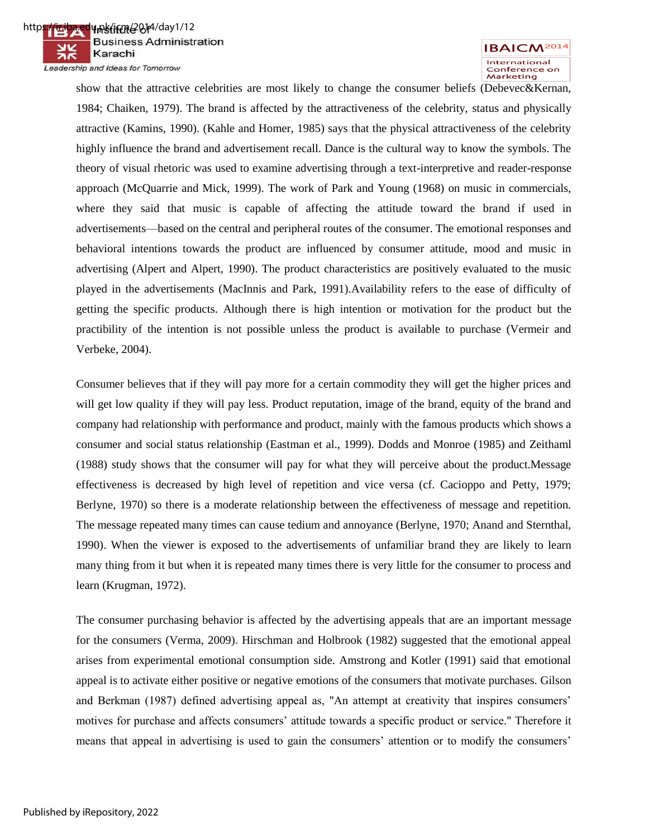



show that the attractive celebrities are most likely to change the consumer beliefs (Debevec&Kernan, 1984; Chaiken, 1979). The brand is affected by the attractiveness of the celebrity, status and physically attractive (Kamins, 1990). (Kahle and Homer, 1985) says that the physical attractiveness of the celebrity highly influence the brand and advertisement recall. Dance is the cultural way to know the symbols. The theory of visual rhetoric was used to examine advertising through a text-interpretive and reader-response approach (McQuarrie and Mick, 1999). The work of Park and Young (1968) on music in commercials, where they said that music is capable of affecting the attitude toward the brand if used in advertisements—based on the central and peripheral routes of the consumer. The emotional responses and behavioral intentions towards the product are influenced by consumer attitude, mood and music in advertising (Alpert and Alpert, 1990). The product characteristics are positively evaluated to the music played in the advertisements (MacInnis and Park, 1991).Availability refers to the ease of difficulty of getting the specific products. Although there is high intention or motivation for the product but the practibility of the intention is not possible unless the product is available to purchase (Vermeir and Verbeke, 2004).

Consumer believes that if they will pay more for a certain commodity they will get the higher prices and will get low quality if they will pay less. Product reputation, image of the brand, equity of the brand and company had relationship with performance and product, mainly with the famous products which shows a consumer and social status relationship (Eastman et al., 1999). Dodds and Monroe (1985) and Zeithaml (1988) study shows that the consumer will pay for what they will perceive about the product.Message effectiveness is decreased by high level of repetition and vice versa (cf. Cacioppo and Petty, 1979; Berlyne, 1970) so there is a moderate relationship between the effectiveness of message and repetition. The message repeated many times can cause tedium and annoyance (Berlyne, 1970; Anand and Sternthal, 1990). When the viewer is exposed to the advertisements of unfamiliar brand they are likely to learn many thing from it but when it is repeated many times there is very little for the consumer to process and learn (Krugman, 1972).

The consumer purchasing behavior is affected by the advertising appeals that are an important message for the consumers (Verma, 2009). Hirschman and Holbrook (1982) suggested that the emotional appeal arises from experimental emotional consumption side. Amstrong and Kotler (1991) said that emotional appeal is to activate either positive or negative emotions of the consumers that motivate purchases. Gilson and Berkman (1987) defined advertising appeal as, "An attempt at creativity that inspires consumers' motives for purchase and affects consumers' attitude towards a specific product or service." Therefore it means that appeal in advertising is used to gain the consumers' attention or to modify the consumers'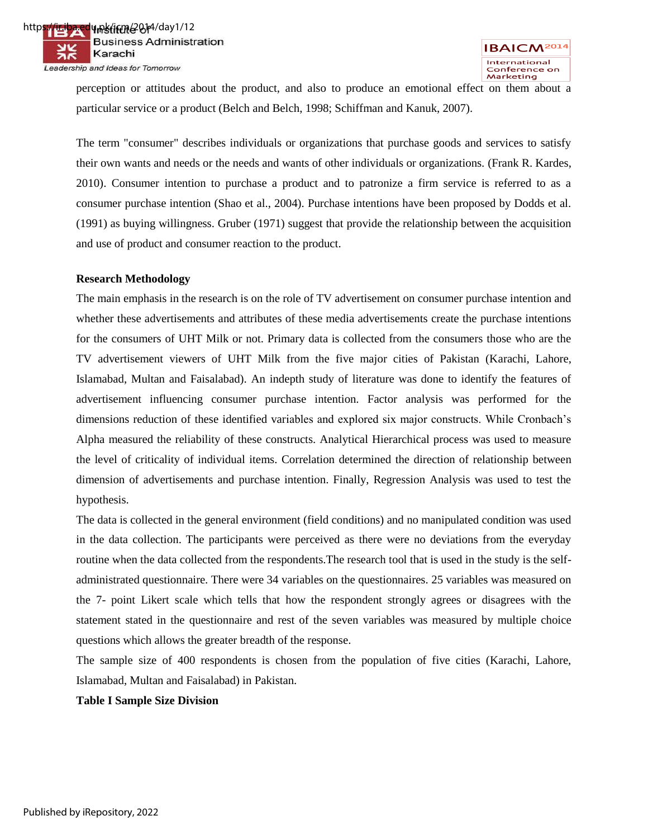perception or attitudes about the product, and also to produce an emotional effect on them about a particular service or a product (Belch and Belch, 1998; Schiffman and Kanuk, 2007).

The term "consumer" describes individuals or organizations that purchase goods and services to satisfy their own wants and needs or the needs and wants of other individuals or organizations. (Frank R. Kardes, 2010). Consumer intention to purchase a product and to patronize a firm service is referred to as a consumer purchase intention (Shao et al., 2004). Purchase intentions have been proposed by Dodds et al. (1991) as buying willingness. Gruber (1971) suggest that provide the relationship between the acquisition and use of product and consumer reaction to the product.

### **Research Methodology**

The main emphasis in the research is on the role of TV advertisement on consumer purchase intention and whether these advertisements and attributes of these media advertisements create the purchase intentions for the consumers of UHT Milk or not. Primary data is collected from the consumers those who are the TV advertisement viewers of UHT Milk from the five major cities of Pakistan (Karachi, Lahore, Islamabad, Multan and Faisalabad). An indepth study of literature was done to identify the features of advertisement influencing consumer purchase intention. Factor analysis was performed for the dimensions reduction of these identified variables and explored six major constructs. While Cronbach's Alpha measured the reliability of these constructs. Analytical Hierarchical process was used to measure the level of criticality of individual items. Correlation determined the direction of relationship between dimension of advertisements and purchase intention. Finally, Regression Analysis was used to test the hypothesis.

The data is collected in the general environment (field conditions) and no manipulated condition was used in the data collection. The participants were perceived as there were no deviations from the everyday routine when the data collected from the respondents.The research tool that is used in the study is the selfadministrated questionnaire. There were 34 variables on the questionnaires. 25 variables was measured on the 7- point Likert scale which tells that how the respondent strongly agrees or disagrees with the statement stated in the questionnaire and rest of the seven variables was measured by multiple choice questions which allows the greater breadth of the response.

The sample size of 400 respondents is chosen from the population of five cities (Karachi, Lahore, Islamabad, Multan and Faisalabad) in Pakistan.

### **Table I Sample Size Division**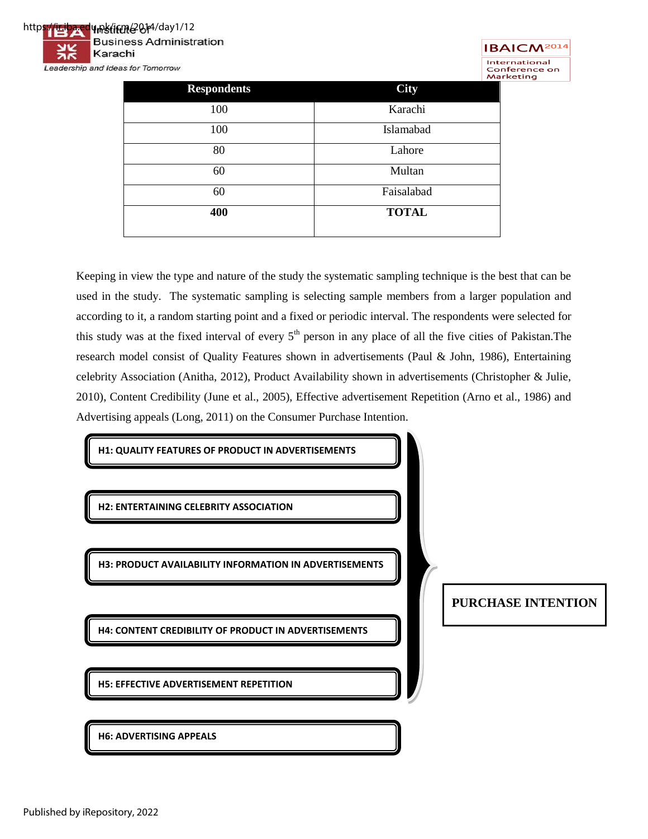



|                    | M.           |
|--------------------|--------------|
| <b>Respondents</b> | <b>City</b>  |
| 100                | Karachi      |
| 100                | Islamabad    |
| 80                 | Lahore       |
| 60                 | Multan       |
| 60                 | Faisalabad   |
| 400                | <b>TOTAL</b> |
|                    |              |

Keeping in view the type and nature of the study the systematic sampling technique is the best that can be used in the study. The systematic sampling is selecting sample members from a larger population and according to it, a random starting point and a fixed or periodic interval. The respondents were selected for this study was at the fixed interval of every  $5<sup>th</sup>$  person in any place of all the five cities of Pakistan.The research model consist of Quality Features shown in advertisements (Paul & John, 1986), Entertaining celebrity Association (Anitha, 2012), Product Availability shown in advertisements (Christopher & Julie, 2010), Content Credibility (June et al., 2005), Effective advertisement Repetition (Arno et al., 1986) and Advertising appeals (Long, 2011) on the Consumer Purchase Intention.

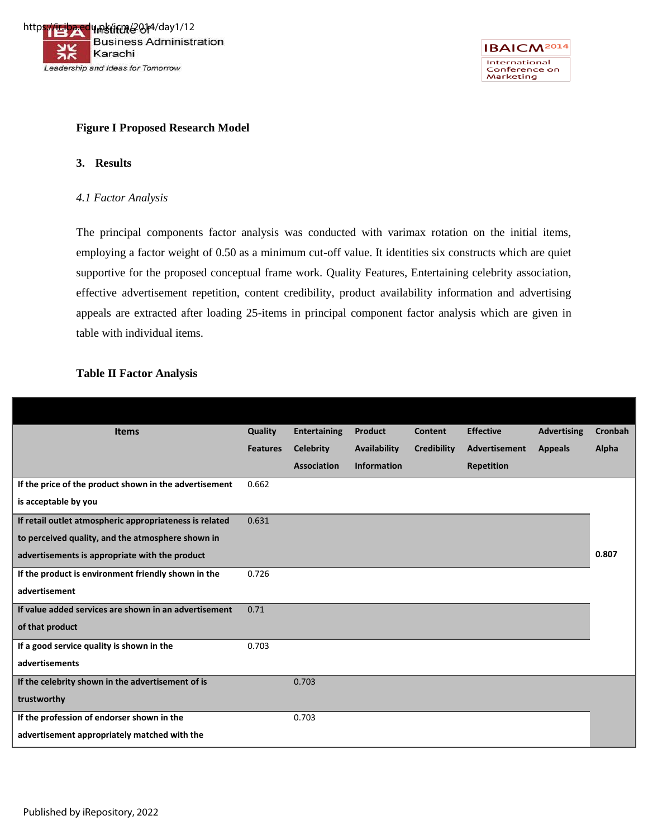



### **Figure I Proposed Research Model**

### **3. Results**

#### *4.1 Factor Analysis*

The principal components factor analysis was conducted with varimax rotation on the initial items, employing a factor weight of 0.50 as a minimum cut-off value. It identities six constructs which are quiet supportive for the proposed conceptual frame work. Quality Features, Entertaining celebrity association, effective advertisement repetition, content credibility, product availability information and advertising appeals are extracted after loading 25-items in principal component factor analysis which are given in table with individual items.

### **Table II Factor Analysis**

| <b>Items</b>                                            | Quality         | <b>Entertaining</b> | <b>Product</b>     | Content            | <b>Effective</b>     | <b>Advertising</b> | <b>Cronbah</b> |
|---------------------------------------------------------|-----------------|---------------------|--------------------|--------------------|----------------------|--------------------|----------------|
|                                                         | <b>Features</b> | <b>Celebrity</b>    | Availability       | <b>Credibility</b> | <b>Advertisement</b> | <b>Appeals</b>     | Alpha          |
|                                                         |                 | <b>Association</b>  | <b>Information</b> |                    | <b>Repetition</b>    |                    |                |
| If the price of the product shown in the advertisement  | 0.662           |                     |                    |                    |                      |                    |                |
| is acceptable by you                                    |                 |                     |                    |                    |                      |                    |                |
| If retail outlet atmospheric appropriateness is related | 0.631           |                     |                    |                    |                      |                    |                |
| to perceived quality, and the atmosphere shown in       |                 |                     |                    |                    |                      |                    |                |
| advertisements is appropriate with the product          |                 |                     |                    |                    |                      |                    | 0.807          |
| If the product is environment friendly shown in the     | 0.726           |                     |                    |                    |                      |                    |                |
| advertisement                                           |                 |                     |                    |                    |                      |                    |                |
| If value added services are shown in an advertisement   | 0.71            |                     |                    |                    |                      |                    |                |
| of that product                                         |                 |                     |                    |                    |                      |                    |                |
| If a good service quality is shown in the               | 0.703           |                     |                    |                    |                      |                    |                |
| advertisements                                          |                 |                     |                    |                    |                      |                    |                |
| If the celebrity shown in the advertisement of is       |                 | 0.703               |                    |                    |                      |                    |                |
| trustworthy                                             |                 |                     |                    |                    |                      |                    |                |
| If the profession of endorser shown in the              |                 | 0.703               |                    |                    |                      |                    |                |
| advertisement appropriately matched with the            |                 |                     |                    |                    |                      |                    |                |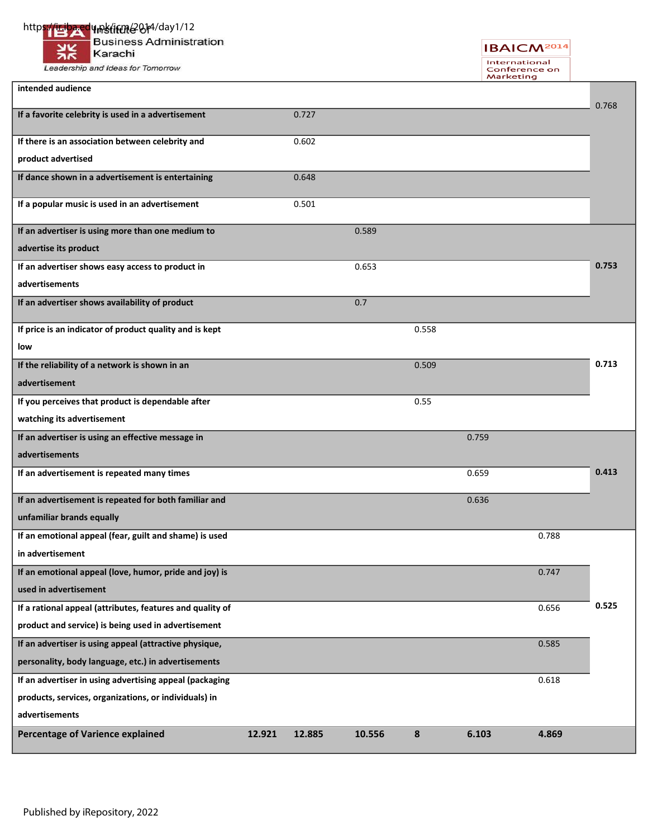### https://iriba.edu.pk/ifme2014/day1/12

**Business Administration** Karachi

Leadership and Ideas for Tomorrow

**intended audience**

**IBAICM**<sup>2014</sup> International<br>Conference on<br>Marketing

l,

|                                                           |       |       |       |       |       | 0.768 |
|-----------------------------------------------------------|-------|-------|-------|-------|-------|-------|
| If a favorite celebrity is used in a advertisement        | 0.727 |       |       |       |       |       |
| If there is an association between celebrity and          | 0.602 |       |       |       |       |       |
| product advertised                                        |       |       |       |       |       |       |
| If dance shown in a advertisement is entertaining         | 0.648 |       |       |       |       |       |
| If a popular music is used in an advertisement            | 0.501 |       |       |       |       |       |
| If an advertiser is using more than one medium to         |       | 0.589 |       |       |       |       |
| advertise its product                                     |       |       |       |       |       |       |
| If an advertiser shows easy access to product in          |       | 0.653 |       |       |       | 0.753 |
| advertisements                                            |       |       |       |       |       |       |
| If an advertiser shows availability of product            |       | 0.7   |       |       |       |       |
| If price is an indicator of product quality and is kept   |       |       | 0.558 |       |       |       |
| low                                                       |       |       |       |       |       |       |
| If the reliability of a network is shown in an            |       |       | 0.509 |       |       | 0.713 |
| advertisement                                             |       |       |       |       |       |       |
| If you perceives that product is dependable after         |       |       | 0.55  |       |       |       |
| watching its advertisement                                |       |       |       |       |       |       |
| If an advertiser is using an effective message in         |       |       |       | 0.759 |       |       |
| advertisements                                            |       |       |       |       |       |       |
| If an advertisement is repeated many times                |       |       |       | 0.659 |       | 0.413 |
| If an advertisement is repeated for both familiar and     |       |       |       | 0.636 |       |       |
| unfamiliar brands equally                                 |       |       |       |       |       |       |
| If an emotional appeal (fear, guilt and shame) is used    |       |       |       |       | 0.788 |       |
| in advertisement                                          |       |       |       |       |       |       |
| If an emotional appeal (love, humor, pride and joy) is    |       |       |       |       | 0.747 |       |
| used in advertisement                                     |       |       |       |       |       |       |
| If a rational appeal (attributes, features and quality of |       |       |       |       | 0.656 | 0.525 |
| product and service) is being used in advertisement       |       |       |       |       |       |       |
| If an advertiser is using appeal (attractive physique,    |       |       |       |       | 0.585 |       |
| personality, body language, etc.) in advertisements       |       |       |       |       |       |       |
| If an advertiser in using advertising appeal (packaging   |       |       |       |       | 0.618 |       |
| products, services, organizations, or individuals) in     |       |       |       |       |       |       |
| advertisements                                            |       |       |       |       |       |       |

**Percentage of Varience explained 12.921 12.885 10.556 8 6.103 4.869**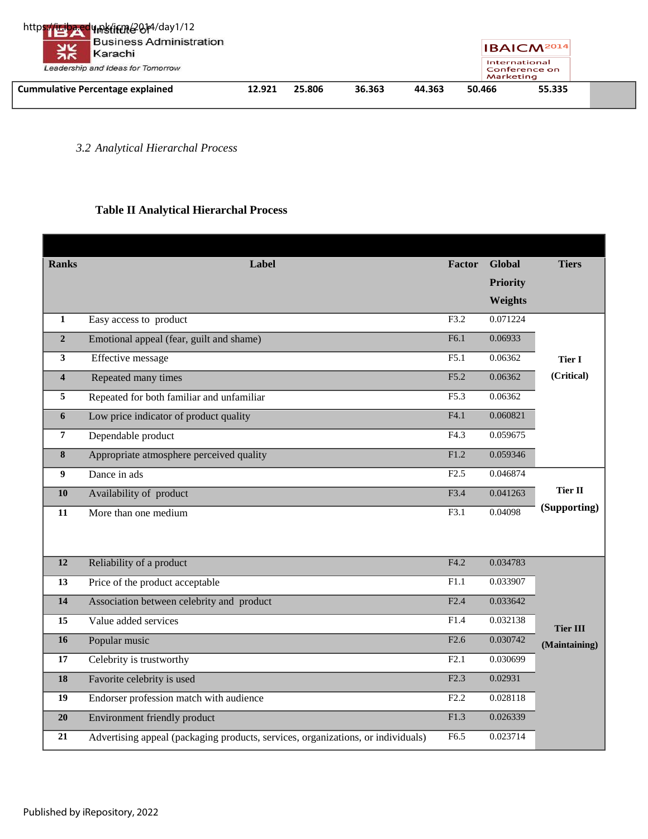| <b>Cummulative Percentage explained</b>                                 | 12.921 | 25.806 | 36.363 | 44.363 | 50.466    | 55.335                         |
|-------------------------------------------------------------------------|--------|--------|--------|--------|-----------|--------------------------------|
| 张<br>Karachi<br>Leadership and Ideas for Tomorrow                       |        |        |        |        | Marketing | International<br>Conference on |
| https://iriba.edu.netitme@014/day1/12<br><b>Business Administration</b> |        |        |        |        |           | IBA CM <sup>2014</sup>         |

*3.2 Analytical Hierarchal Process* 

### **Table II Analytical Hierarchal Process**

| <b>Ranks</b>            | Label                                                                            | Factor | <b>Global</b>   | <b>Tiers</b>    |
|-------------------------|----------------------------------------------------------------------------------|--------|-----------------|-----------------|
|                         |                                                                                  |        | <b>Priority</b> |                 |
|                         |                                                                                  |        | Weights         |                 |
| $\mathbf{1}$            | Easy access to product                                                           | F3.2   | 0.071224        |                 |
| $\overline{2}$          | Emotional appeal (fear, guilt and shame)                                         | F6.1   | 0.06933         |                 |
| $\overline{\mathbf{3}}$ | Effective message                                                                | F5.1   | 0.06362         | <b>Tier I</b>   |
| $\overline{\mathbf{4}}$ | Repeated many times                                                              | F5.2   | 0.06362         | (Critical)      |
| 5                       | Repeated for both familiar and unfamiliar                                        | F5.3   | 0.06362         |                 |
| 6                       | Low price indicator of product quality                                           | F4.1   | 0.060821        |                 |
| $\overline{7}$          | Dependable product                                                               | F4.3   | 0.059675        |                 |
| $\bf{8}$                | Appropriate atmosphere perceived quality                                         | F1.2   | 0.059346        |                 |
| $\boldsymbol{9}$        | Dance in ads                                                                     | F2.5   | 0.046874        |                 |
| 10                      | Availability of product                                                          | F3.4   | 0.041263        | Tier II         |
| 11                      | More than one medium                                                             | F3.1   | 0.04098         | (Supporting)    |
|                         |                                                                                  |        |                 |                 |
|                         |                                                                                  |        |                 |                 |
| 12                      | Reliability of a product                                                         | F4.2   | 0.034783        |                 |
| 13                      | Price of the product acceptable                                                  | F1.1   | 0.033907        |                 |
| 14                      | Association between celebrity and product                                        | F2.4   | 0.033642        |                 |
| 15                      | Value added services                                                             | F1.4   | 0.032138        | <b>Tier III</b> |
| 16                      | Popular music                                                                    | F2.6   | 0.030742        | (Maintaining)   |
| 17                      | Celebrity is trustworthy                                                         | F2.1   | 0.030699        |                 |
| 18                      | Favorite celebrity is used                                                       | F2.3   | 0.02931         |                 |
| 19                      | Endorser profession match with audience                                          | F2.2   | 0.028118        |                 |
| 20                      | Environment friendly product                                                     | F1.3   | 0.026339        |                 |
| 21                      | Advertising appeal (packaging products, services, organizations, or individuals) | F6.5   | 0.023714        |                 |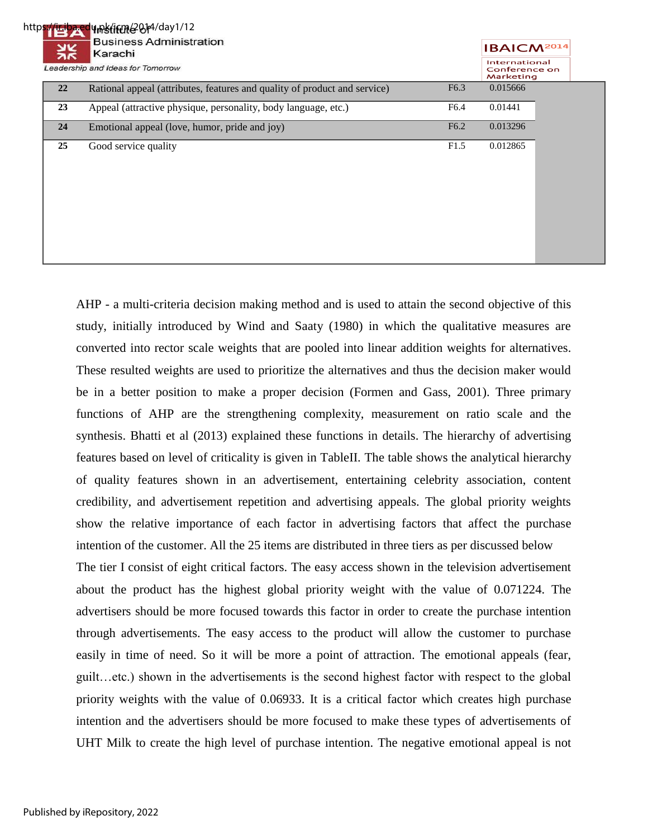### https://ir.iba.edu.pk/icm/2014/day1/12

|    | <b>HINSTITUTE OF</b> 1999 1712<br><b>Business Administration</b><br>Karachi | <b>IBAICM<sup>2014</sup></b>                |          |  |
|----|-----------------------------------------------------------------------------|---------------------------------------------|----------|--|
|    | Leadership and Ideas for Tomorrow                                           | International<br>Conference on<br>Marketing |          |  |
| 22 | Rational appeal (attributes, features and quality of product and service)   | F <sub>6.3</sub>                            | 0.015666 |  |
| 23 | Appeal (attractive physique, personality, body language, etc.)              | F6.4                                        | 0.01441  |  |
| 24 | Emotional appeal (love, humor, pride and joy)                               | F <sub>6.2</sub>                            | 0.013296 |  |
| 25 | Good service quality                                                        | F1.5                                        | 0.012865 |  |

AHP - a multi-criteria decision making method and is used to attain the second objective of this study, initially introduced by Wind and Saaty (1980) in which the qualitative measures are converted into rector scale weights that are pooled into linear addition weights for alternatives. These resulted weights are used to prioritize the alternatives and thus the decision maker would be in a better position to make a proper decision (Formen and Gass, 2001). Three primary functions of AHP are the strengthening complexity, measurement on ratio scale and the synthesis. Bhatti et al (2013) explained these functions in details. The hierarchy of advertising features based on level of criticality is given in TableII. The table shows the analytical hierarchy of quality features shown in an advertisement, entertaining celebrity association, content credibility, and advertisement repetition and advertising appeals. The global priority weights show the relative importance of each factor in advertising factors that affect the purchase intention of the customer. All the 25 items are distributed in three tiers as per discussed below The tier I consist of eight critical factors. The easy access shown in the television advertisement about the product has the highest global priority weight with the value of 0.071224. The advertisers should be more focused towards this factor in order to create the purchase intention through advertisements. The easy access to the product will allow the customer to purchase easily in time of need. So it will be more a point of attraction. The emotional appeals (fear, guilt…etc.) shown in the advertisements is the second highest factor with respect to the global priority weights with the value of 0.06933. It is a critical factor which creates high purchase intention and the advertisers should be more focused to make these types of advertisements of UHT Milk to create the high level of purchase intention. The negative emotional appeal is not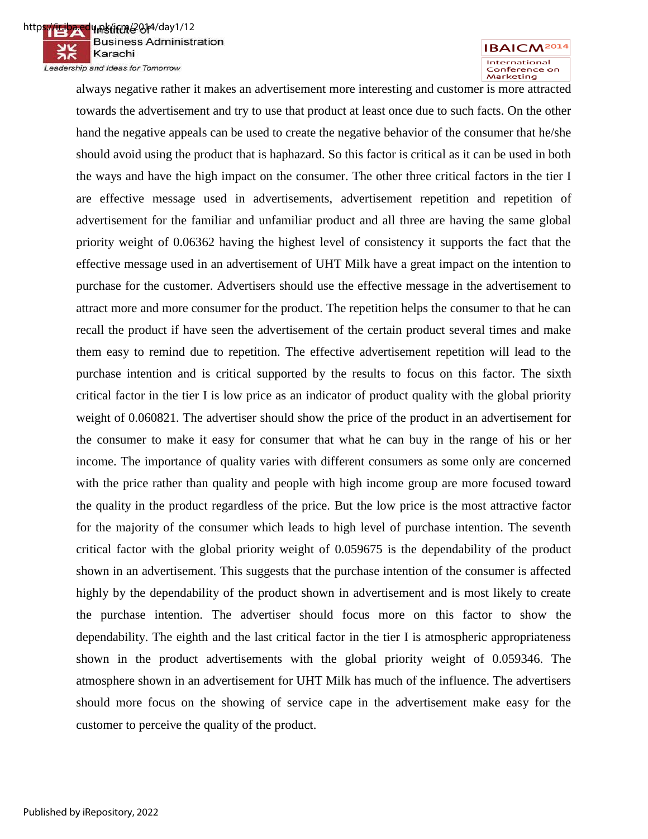https://ir.iba.edu.pk/icm/2014/day1/12 **Business Administration** Karachi Leadership and Ideas for Tomorrow



always negative rather it makes an advertisement more interesting and customer is more attracted towards the advertisement and try to use that product at least once due to such facts. On the other hand the negative appeals can be used to create the negative behavior of the consumer that he/she should avoid using the product that is haphazard. So this factor is critical as it can be used in both the ways and have the high impact on the consumer. The other three critical factors in the tier I are effective message used in advertisements, advertisement repetition and repetition of advertisement for the familiar and unfamiliar product and all three are having the same global priority weight of 0.06362 having the highest level of consistency it supports the fact that the effective message used in an advertisement of UHT Milk have a great impact on the intention to purchase for the customer. Advertisers should use the effective message in the advertisement to attract more and more consumer for the product. The repetition helps the consumer to that he can recall the product if have seen the advertisement of the certain product several times and make them easy to remind due to repetition. The effective advertisement repetition will lead to the purchase intention and is critical supported by the results to focus on this factor. The sixth critical factor in the tier I is low price as an indicator of product quality with the global priority weight of 0.060821. The advertiser should show the price of the product in an advertisement for the consumer to make it easy for consumer that what he can buy in the range of his or her income. The importance of quality varies with different consumers as some only are concerned with the price rather than quality and people with high income group are more focused toward the quality in the product regardless of the price. But the low price is the most attractive factor for the majority of the consumer which leads to high level of purchase intention. The seventh critical factor with the global priority weight of 0.059675 is the dependability of the product shown in an advertisement. This suggests that the purchase intention of the consumer is affected highly by the dependability of the product shown in advertisement and is most likely to create the purchase intention. The advertiser should focus more on this factor to show the dependability. The eighth and the last critical factor in the tier I is atmospheric appropriateness shown in the product advertisements with the global priority weight of 0.059346. The atmosphere shown in an advertisement for UHT Milk has much of the influence. The advertisers should more focus on the showing of service cape in the advertisement make easy for the customer to perceive the quality of the product.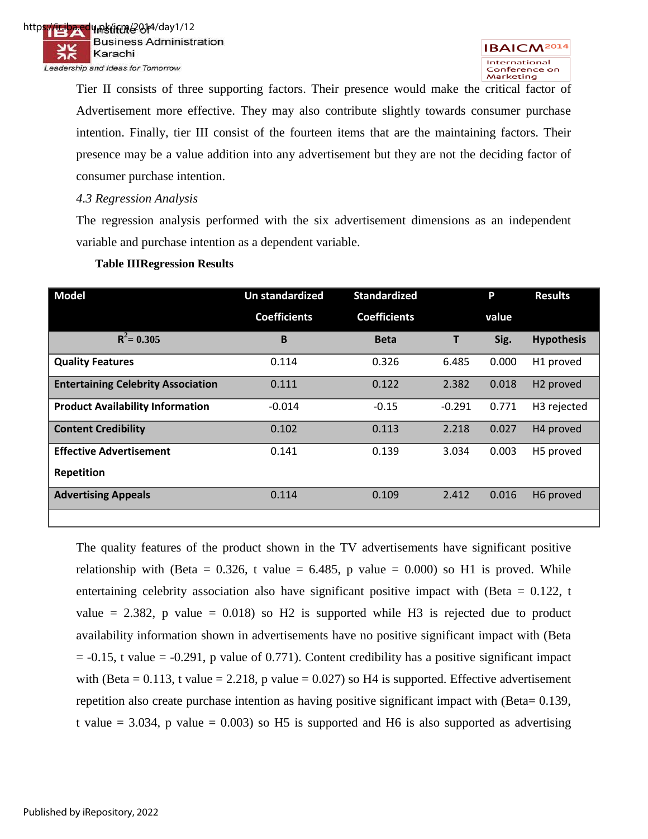Tier II consists of three supporting factors. Their presence would make the critical factor of Advertisement more effective. They may also contribute slightly towards consumer purchase intention. Finally, tier III consist of the fourteen items that are the maintaining factors. Their presence may be a value addition into any advertisement but they are not the deciding factor of consumer purchase intention.

### *4.3 Regression Analysis*

The regression analysis performed with the six advertisement dimensions as an independent variable and purchase intention as a dependent variable.

| <b>Model</b>                              | <b>Un standardized</b> | <b>Standardized</b> |          | P     | <b>Results</b>          |
|-------------------------------------------|------------------------|---------------------|----------|-------|-------------------------|
|                                           | <b>Coefficients</b>    | <b>Coefficients</b> |          | value |                         |
| $R^2 = 0.305$                             | B                      | <b>Beta</b>         | Т        | Sig.  | <b>Hypothesis</b>       |
| <b>Quality Features</b>                   | 0.114                  | 0.326               | 6.485    | 0.000 | H1 proved               |
| <b>Entertaining Celebrity Association</b> | 0.111                  | 0.122               | 2.382    | 0.018 | H <sub>2</sub> proved   |
| <b>Product Availability Information</b>   | $-0.014$               | $-0.15$             | $-0.291$ | 0.771 | H <sub>3</sub> rejected |
| <b>Content Credibility</b>                | 0.102                  | 0.113               | 2.218    | 0.027 | H <sub>4</sub> proved   |
| <b>Effective Advertisement</b>            | 0.141                  | 0.139               | 3.034    | 0.003 | H5 proved               |
| <b>Repetition</b>                         |                        |                     |          |       |                         |
| <b>Advertising Appeals</b>                | 0.114                  | 0.109               | 2.412    | 0.016 | H6 proved               |
|                                           |                        |                     |          |       |                         |

### **Table IIIRegression Results**

The quality features of the product shown in the TV advertisements have significant positive relationship with (Beta =  $0.326$ , t value =  $6.485$ , p value =  $0.000$ ) so H1 is proved. While entertaining celebrity association also have significant positive impact with (Beta  $= 0.122$ , t value  $= 2.382$ , p value  $= 0.018$ ) so H2 is supported while H3 is rejected due to product availability information shown in advertisements have no positive significant impact with (Beta  $= -0.15$ , t value  $= -0.291$ , p value of 0.771). Content credibility has a positive significant impact with (Beta =  $0.113$ , t value =  $2.218$ , p value =  $0.027$ ) so H4 is supported. Effective advertisement repetition also create purchase intention as having positive significant impact with (Beta= 0.139, t value  $= 3.034$ , p value  $= 0.003$ ) so H5 is supported and H6 is also supported as advertising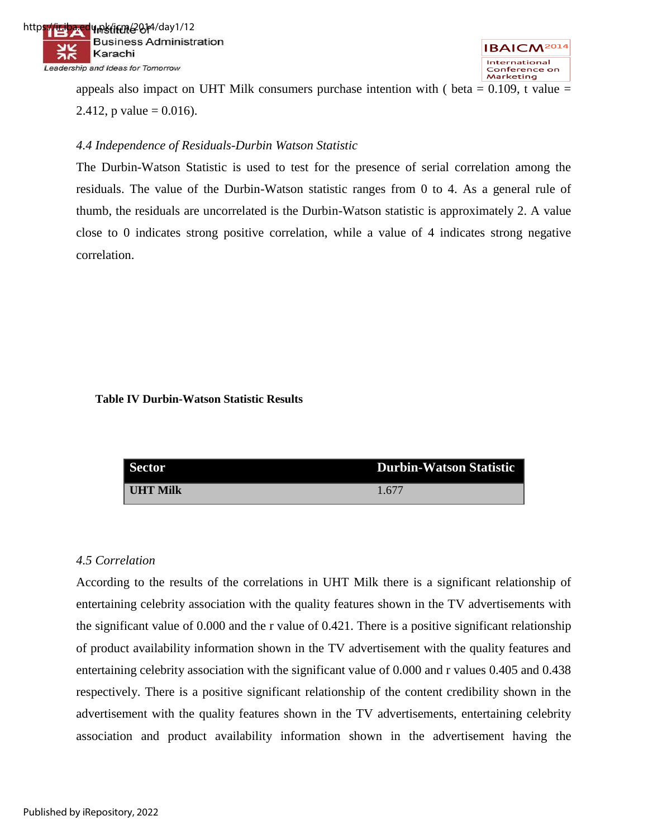



appeals also impact on UHT Milk consumers purchase intention with ( beta  $= 0.109$ , t value  $=$ 2.412, p value =  $0.016$ ).

### *4.4 Independence of Residuals-Durbin Watson Statistic*

The Durbin-Watson Statistic is used to test for the presence of serial correlation among the residuals. The value of the Durbin-Watson statistic ranges from 0 to 4. As a general rule of thumb, the residuals are uncorrelated is the Durbin-Watson statistic is approximately 2. A value close to 0 indicates strong positive correlation, while a value of 4 indicates strong negative correlation.

### **Table IV Durbin-Watson Statistic Results**

| <b>Sector</b>   | <b>Durbin-Watson Statistic</b> |
|-----------------|--------------------------------|
| <b>IHT Milk</b> | 1.677                          |

### *4.5 Correlation*

According to the results of the correlations in UHT Milk there is a significant relationship of entertaining celebrity association with the quality features shown in the TV advertisements with the significant value of 0.000 and the r value of 0.421. There is a positive significant relationship of product availability information shown in the TV advertisement with the quality features and entertaining celebrity association with the significant value of 0.000 and r values 0.405 and 0.438 respectively. There is a positive significant relationship of the content credibility shown in the advertisement with the quality features shown in the TV advertisements, entertaining celebrity association and product availability information shown in the advertisement having the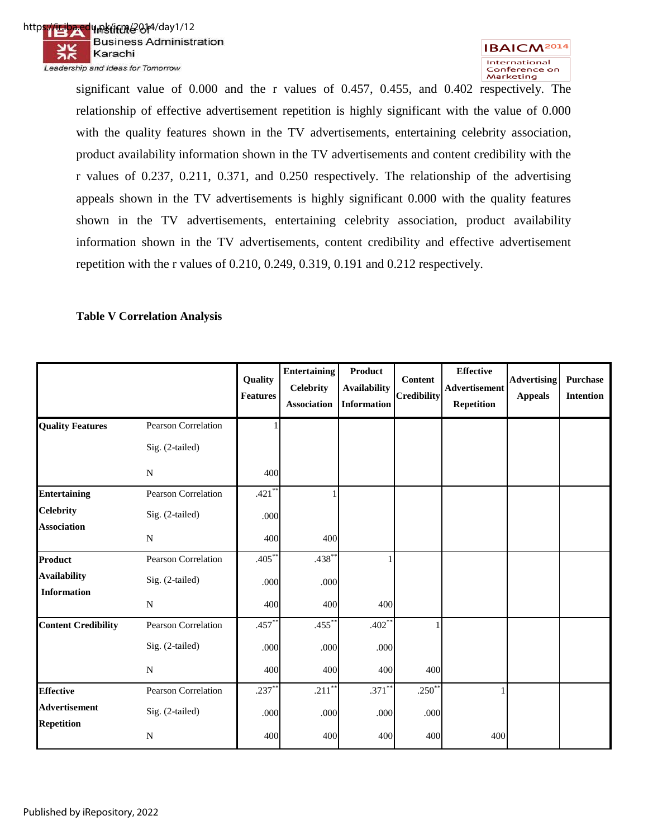



significant value of 0.000 and the r values of 0.457, 0.455, and 0.402 respectively. The relationship of effective advertisement repetition is highly significant with the value of 0.000 with the quality features shown in the TV advertisements, entertaining celebrity association, product availability information shown in the TV advertisements and content credibility with the r values of 0.237, 0.211, 0.371, and 0.250 respectively. The relationship of the advertising appeals shown in the TV advertisements is highly significant 0.000 with the quality features shown in the TV advertisements, entertaining celebrity association, product availability information shown in the TV advertisements, content credibility and effective advertisement repetition with the r values of 0.210, 0.249, 0.319, 0.191 and 0.212 respectively.

### **Table V Correlation Analysis**

|                            |                            | Quality<br><b>Features</b> | <b>Entertaining</b><br><b>Celebrity</b><br><b>Association</b> | <b>Product</b><br><b>Availability</b><br><b>Information</b> | <b>Content</b><br><b>Credibility</b> | <b>Effective</b><br>Advertisement<br><b>Repetition</b> | <b>Advertising</b><br><b>Appeals</b> | Purchase<br><b>Intention</b> |
|----------------------------|----------------------------|----------------------------|---------------------------------------------------------------|-------------------------------------------------------------|--------------------------------------|--------------------------------------------------------|--------------------------------------|------------------------------|
| <b>Quality Features</b>    | Pearson Correlation        |                            |                                                               |                                                             |                                      |                                                        |                                      |                              |
|                            | Sig. (2-tailed)            |                            |                                                               |                                                             |                                      |                                                        |                                      |                              |
|                            | N                          | 400                        |                                                               |                                                             |                                      |                                                        |                                      |                              |
| <b>Entertaining</b>        | <b>Pearson Correlation</b> | $.421$ *                   |                                                               |                                                             |                                      |                                                        |                                      |                              |
| <b>Celebrity</b>           | Sig. (2-tailed)            | .000                       |                                                               |                                                             |                                      |                                                        |                                      |                              |
| <b>Association</b>         | N                          | 400                        | 400                                                           |                                                             |                                      |                                                        |                                      |                              |
| Product                    | <b>Pearson Correlation</b> | $.405*$                    | $.438*$                                                       |                                                             |                                      |                                                        |                                      |                              |
| <b>Availability</b>        | Sig. (2-tailed)            | .000                       | .000                                                          |                                                             |                                      |                                                        |                                      |                              |
| <b>Information</b>         | N                          | 400                        | 400                                                           | 400                                                         |                                      |                                                        |                                      |                              |
| <b>Content Credibility</b> | Pearson Correlation        | $.457*$                    | $.455$ <sup>*</sup>                                           | $.402**$                                                    |                                      |                                                        |                                      |                              |
|                            | Sig. (2-tailed)            | .000                       | .000                                                          | .000                                                        |                                      |                                                        |                                      |                              |
|                            | $\mathbf N$                | 400                        | 400                                                           | 400                                                         | 400                                  |                                                        |                                      |                              |
| <b>Effective</b>           | <b>Pearson Correlation</b> | $.237*$                    | $.211*$                                                       | $.371$ **                                                   | $.250^{**}$                          |                                                        |                                      |                              |
| <b>Advertisement</b>       | Sig. (2-tailed)            | .000                       | .000                                                          | .000                                                        | .000                                 |                                                        |                                      |                              |
| <b>Repetition</b>          | N                          | 400                        | 400                                                           | 400                                                         | 400                                  | 400                                                    |                                      |                              |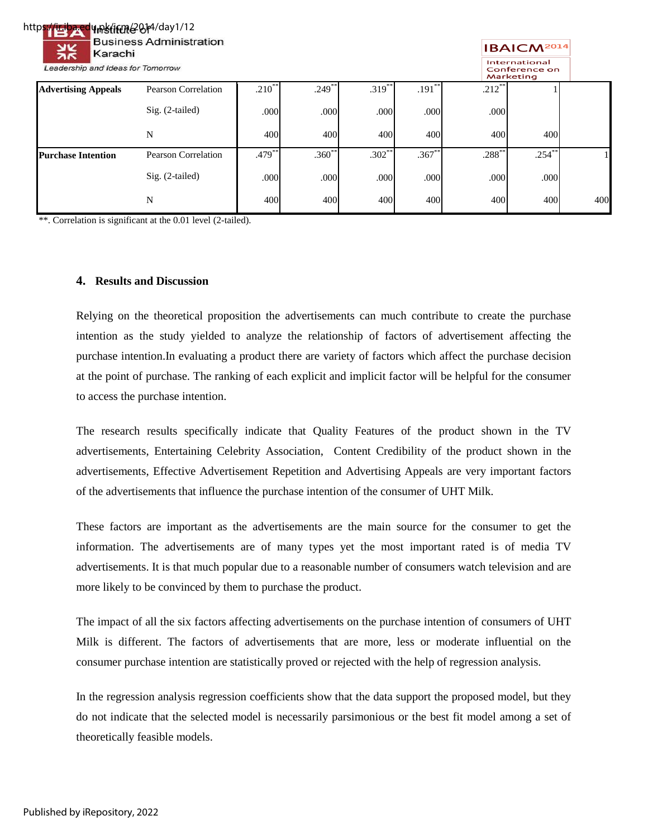### https://ir.iba.edu.pk/ifme2014/day1/12 **Business Administration** Karachi

Leadership and Ideas for Tomorrow

#### **IBAICM<sup>2014</sup>** International Conference o<mark>n</mark> Marketing

|                            |                     |             |           |          |           |           | Marketing |     |
|----------------------------|---------------------|-------------|-----------|----------|-----------|-----------|-----------|-----|
| <b>Advertising Appeals</b> | Pearson Correlation | $.210^{**}$ | $.249$ ** | .319     | $.191***$ | $.212$ ** |           |     |
|                            | $Sig. (2-tailed)$   | .000        | .000      | .000     | .000      | .000      |           |     |
|                            | N                   | 400         | 400       | 400      | 400       | 400       | 400       |     |
| <b>Purchase Intention</b>  | Pearson Correlation | $.479***$   | $.360**$  | $.302**$ | $.367$ *  | $.288***$ | $.254***$ |     |
|                            | Sig. (2-tailed)     | .000        | .000      | .000     | .000      | .000      | .000      |     |
|                            | N                   | 400         | 400       | 400      | 400       | 400       | 400       | 400 |

\*\*. Correlation is significant at the 0.01 level (2-tailed).

### **4. Results and Discussion**

Relying on the theoretical proposition the advertisements can much contribute to create the purchase intention as the study yielded to analyze the relationship of factors of advertisement affecting the purchase intention.In evaluating a product there are variety of factors which affect the purchase decision at the point of purchase. The ranking of each explicit and implicit factor will be helpful for the consumer to access the purchase intention.

The research results specifically indicate that Quality Features of the product shown in the TV advertisements, Entertaining Celebrity Association, Content Credibility of the product shown in the advertisements, Effective Advertisement Repetition and Advertising Appeals are very important factors of the advertisements that influence the purchase intention of the consumer of UHT Milk.

These factors are important as the advertisements are the main source for the consumer to get the information. The advertisements are of many types yet the most important rated is of media TV advertisements. It is that much popular due to a reasonable number of consumers watch television and are more likely to be convinced by them to purchase the product.

The impact of all the six factors affecting advertisements on the purchase intention of consumers of UHT Milk is different. The factors of advertisements that are more, less or moderate influential on the consumer purchase intention are statistically proved or rejected with the help of regression analysis.

In the regression analysis regression coefficients show that the data support the proposed model, but they do not indicate that the selected model is necessarily parsimonious or the best fit model among a set of theoretically feasible models.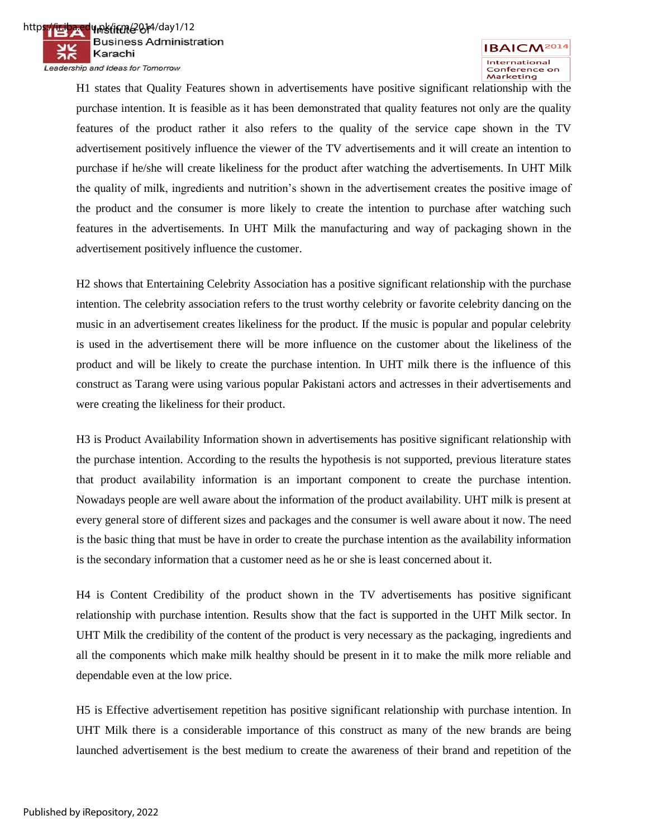

H1 states that Quality Features shown in advertisements have positive significant relationship with the purchase intention. It is feasible as it has been demonstrated that quality features not only are the quality features of the product rather it also refers to the quality of the service cape shown in the TV advertisement positively influence the viewer of the TV advertisements and it will create an intention to purchase if he/she will create likeliness for the product after watching the advertisements. In UHT Milk the quality of milk, ingredients and nutrition's shown in the advertisement creates the positive image of the product and the consumer is more likely to create the intention to purchase after watching such features in the advertisements. In UHT Milk the manufacturing and way of packaging shown in the advertisement positively influence the customer.

H2 shows that Entertaining Celebrity Association has a positive significant relationship with the purchase intention. The celebrity association refers to the trust worthy celebrity or favorite celebrity dancing on the music in an advertisement creates likeliness for the product. If the music is popular and popular celebrity is used in the advertisement there will be more influence on the customer about the likeliness of the product and will be likely to create the purchase intention. In UHT milk there is the influence of this construct as Tarang were using various popular Pakistani actors and actresses in their advertisements and were creating the likeliness for their product.

H3 is Product Availability Information shown in advertisements has positive significant relationship with the purchase intention. According to the results the hypothesis is not supported, previous literature states that product availability information is an important component to create the purchase intention. Nowadays people are well aware about the information of the product availability. UHT milk is present at every general store of different sizes and packages and the consumer is well aware about it now. The need is the basic thing that must be have in order to create the purchase intention as the availability information is the secondary information that a customer need as he or she is least concerned about it.

H4 is Content Credibility of the product shown in the TV advertisements has positive significant relationship with purchase intention. Results show that the fact is supported in the UHT Milk sector. In UHT Milk the credibility of the content of the product is very necessary as the packaging, ingredients and all the components which make milk healthy should be present in it to make the milk more reliable and dependable even at the low price.

H5 is Effective advertisement repetition has positive significant relationship with purchase intention. In UHT Milk there is a considerable importance of this construct as many of the new brands are being launched advertisement is the best medium to create the awareness of their brand and repetition of the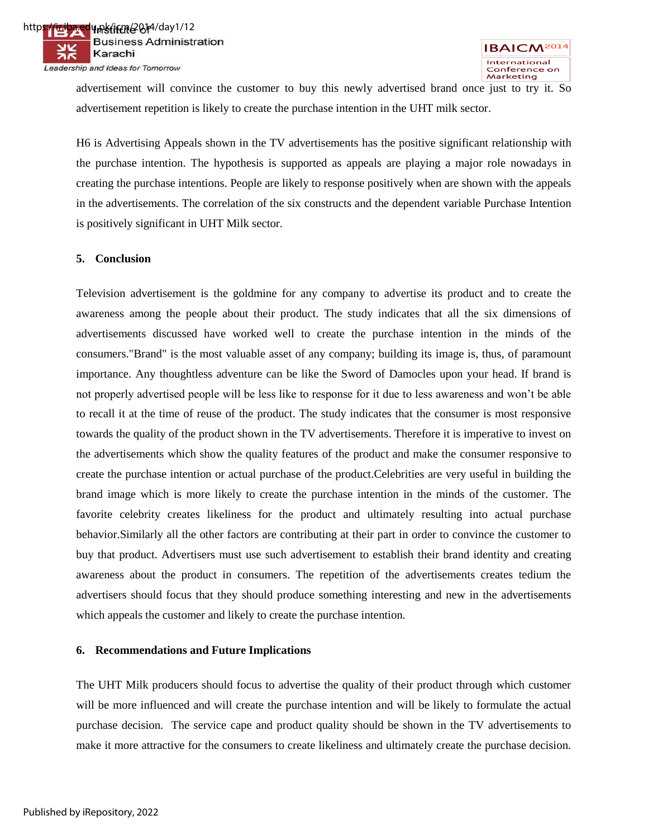advertisement will convince the customer to buy this newly advertised brand once just to try it. So advertisement repetition is likely to create the purchase intention in the UHT milk sector.

H6 is Advertising Appeals shown in the TV advertisements has the positive significant relationship with the purchase intention. The hypothesis is supported as appeals are playing a major role nowadays in creating the purchase intentions. People are likely to response positively when are shown with the appeals in the advertisements. The correlation of the six constructs and the dependent variable Purchase Intention is positively significant in UHT Milk sector.

### **5. Conclusion**

Television advertisement is the goldmine for any company to advertise its product and to create the awareness among the people about their product. The study indicates that all the six dimensions of advertisements discussed have worked well to create the purchase intention in the minds of the consumers."Brand" is the most valuable asset of any company; building its image is, thus, of paramount importance. Any thoughtless adventure can be like the Sword of Damocles upon your head. If brand is not properly advertised people will be less like to response for it due to less awareness and won't be able to recall it at the time of reuse of the product. The study indicates that the consumer is most responsive towards the quality of the product shown in the TV advertisements. Therefore it is imperative to invest on the advertisements which show the quality features of the product and make the consumer responsive to create the purchase intention or actual purchase of the product.Celebrities are very useful in building the brand image which is more likely to create the purchase intention in the minds of the customer. The favorite celebrity creates likeliness for the product and ultimately resulting into actual purchase behavior.Similarly all the other factors are contributing at their part in order to convince the customer to buy that product. Advertisers must use such advertisement to establish their brand identity and creating awareness about the product in consumers. The repetition of the advertisements creates tedium the advertisers should focus that they should produce something interesting and new in the advertisements which appeals the customer and likely to create the purchase intention.

#### **6. Recommendations and Future Implications**

The UHT Milk producers should focus to advertise the quality of their product through which customer will be more influenced and will create the purchase intention and will be likely to formulate the actual purchase decision. The service cape and product quality should be shown in the TV advertisements to make it more attractive for the consumers to create likeliness and ultimately create the purchase decision.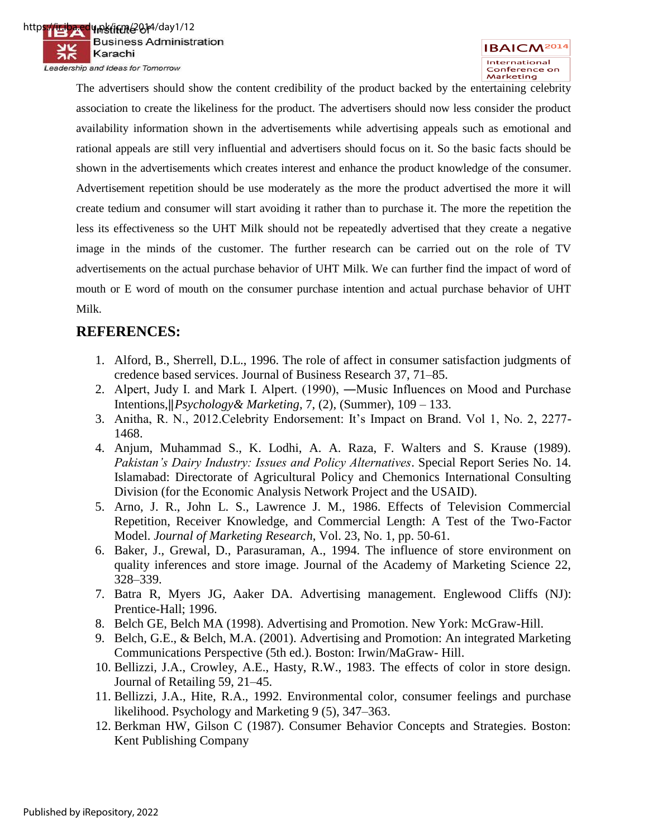The advertisers should show the content credibility of the product backed by the entertaining celebrity association to create the likeliness for the product. The advertisers should now less consider the product availability information shown in the advertisements while advertising appeals such as emotional and rational appeals are still very influential and advertisers should focus on it. So the basic facts should be shown in the advertisements which creates interest and enhance the product knowledge of the consumer. Advertisement repetition should be use moderately as the more the product advertised the more it will create tedium and consumer will start avoiding it rather than to purchase it. The more the repetition the less its effectiveness so the UHT Milk should not be repeatedly advertised that they create a negative image in the minds of the customer. The further research can be carried out on the role of TV advertisements on the actual purchase behavior of UHT Milk. We can further find the impact of word of mouth or E word of mouth on the consumer purchase intention and actual purchase behavior of UHT Milk.

## **REFERENCES:**

- 1. Alford, B., Sherrell, D.L., 1996. The role of affect in consumer satisfaction judgments of credence based services. Journal of Business Research 37, 71–85.
- 2. Alpert, Judy I. and Mark I. Alpert. (1990), ―Music Influences on Mood and Purchase Intentions,‖*Psychology& Marketing*, 7, (2), (Summer), 109 – 133.
- 3. Anitha, R. N., 2012.Celebrity Endorsement: It's Impact on Brand. Vol 1, No. 2, 2277- 1468.
- 4. Anjum, Muhammad S., K. Lodhi, A. A. Raza, F. Walters and S. Krause (1989). *Pakistan's Dairy Industry: Issues and Policy Alternatives*. Special Report Series No. 14. Islamabad: Directorate of Agricultural Policy and Chemonics International Consulting Division (for the Economic Analysis Network Project and the USAID).
- 5. Arno, J. R., John L. S., Lawrence J. M., 1986. Effects of Television Commercial Repetition, Receiver Knowledge, and Commercial Length: A Test of the Two-Factor Model. *Journal of Marketing Research*, Vol. 23, No. 1, pp. 50-61.
- 6. Baker, J., Grewal, D., Parasuraman, A., 1994. The influence of store environment on quality inferences and store image. Journal of the Academy of Marketing Science 22, 328–339.
- 7. Batra R, Myers JG, Aaker DA. Advertising management. Englewood Cliffs (NJ): Prentice-Hall; 1996.
- 8. Belch GE, Belch MA (1998). Advertising and Promotion. New York: McGraw-Hill.
- 9. Belch, G.E., & Belch, M.A. (2001). Advertising and Promotion: An integrated Marketing Communications Perspective (5th ed.). Boston: Irwin/MaGraw- Hill.
- 10. Bellizzi, J.A., Crowley, A.E., Hasty, R.W., 1983. The effects of color in store design. Journal of Retailing 59, 21–45.
- 11. Bellizzi, J.A., Hite, R.A., 1992. Environmental color, consumer feelings and purchase likelihood. Psychology and Marketing 9 (5), 347–363.
- 12. Berkman HW, Gilson C (1987). Consumer Behavior Concepts and Strategies. Boston: Kent Publishing Company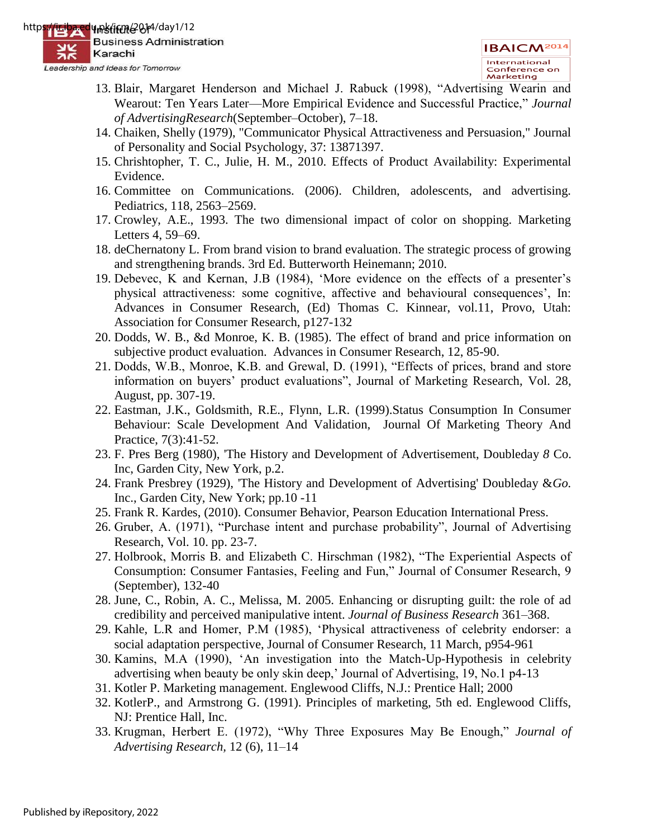- 13. Blair, Margaret Henderson and Michael J. Rabuck (1998), "Advertising Wearin and Wearout: Ten Years Later—More Empirical Evidence and Successful Practice," Journal *of AdvertisingResearch*(September–October), 7–18.
- 14. Chaiken, Shelly (1979), "Communicator Physical Attractiveness and Persuasion," Journal of Personality and Social Psychology, 37: 13871397.
- 15. Chrishtopher, T. C., Julie, H. M., 2010. Effects of Product Availability: Experimental Evidence.
- 16. Committee on Communications. (2006). Children, adolescents, and advertising. Pediatrics, 118, 2563–2569.
- 17. Crowley, A.E., 1993. The two dimensional impact of color on shopping. Marketing Letters 4, 59–69.
- 18. deChernatony L. From brand vision to brand evaluation. The strategic process of growing and strengthening brands. 3rd Ed. Butterworth Heinemann; 2010.
- 19. Debevec, K and Kernan, J.B (1984), 'More evidence on the effects of a presenter's physical attractiveness: some cognitive, affective and behavioural consequences', In: Advances in Consumer Research, (Ed) Thomas C. Kinnear, vol.11, Provo, Utah: Association for Consumer Research, p127-132
- 20. Dodds, W. B., &d Monroe, K. B. (1985). The effect of brand and price information on subjective product evaluation. Advances in Consumer Research, 12, 85-90.
- 21. Dodds, W.B., Monroe, K.B. and Grewal, D. (1991), "Effects of prices, brand and store information on buyers' product evaluations", Journal of Marketing Research, Vol. 28, August, pp. 307-19.
- 22. Eastman, J.K., Goldsmith, R.E., Flynn, L.R. (1999).Status Consumption In Consumer Behaviour: Scale Development And Validation, Journal Of Marketing Theory And Practice, 7(3):41-52.
- 23. F. Pres Berg (1980), 'The History and Development of Advertisement, Doubleday *8* Co. Inc, Garden City, New York, p.2.
- 24. Frank Presbrey (1929), 'The History and Development of Advertising' Doubleday &*Go.*  Inc., Garden City, New York; pp.10 -11
- 25. Frank R. Kardes, (2010). Consumer Behavior, Pearson Education International Press.
- 26. Gruber, A. (1971), "Purchase intent and purchase probability", Journal of Advertising Research, Vol. 10. pp. 23-7.
- 27. Holbrook, Morris B. and Elizabeth C. Hirschman (1982), "The Experiential Aspects of Consumption: Consumer Fantasies, Feeling and Fun," Journal of Consumer Research, 9 (September), 132-40
- 28. June, C., Robin, A. C., Melissa, M. 2005. Enhancing or disrupting guilt: the role of ad credibility and perceived manipulative intent. *Journal of Business Research* 361–368.
- 29. Kahle, L.R and Homer, P.M (1985), ‗Physical attractiveness of celebrity endorser: a social adaptation perspective, Journal of Consumer Research, 11 March, p954-961
- 30. Kamins, M.A (1990), ‗An investigation into the Match-Up-Hypothesis in celebrity advertising when beauty be only skin deep,' Journal of Advertising, 19, No.1 p4-13
- 31. Kotler P. Marketing management. Englewood Cliffs, N.J.: Prentice Hall; 2000
- 32. KotlerP., and Armstrong G. (1991). Principles of marketing, 5th ed. Englewood Cliffs, NJ: Prentice Hall, Inc.
- 33. Krugman, Herbert E. (1972), "Why Three Exposures May Be Enough," *Journal of Advertising Research,* 12 (6), 11–14